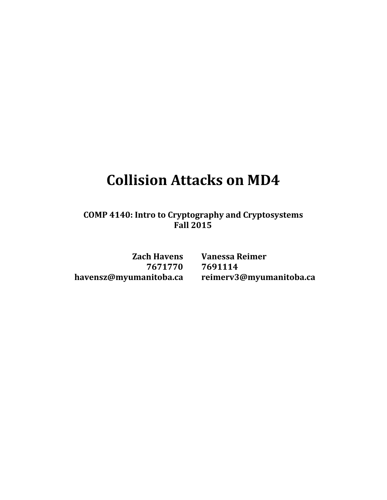# **Collision Attacks on MD4**

**COMP 4140: Intro to Cryptography and Cryptosystems Fall 2015**

**7671770 7691114**

**Zach Havens Vanessa Reimer havens[z@myumanitoba.ca](mailto:pind@myumanitoba.ca) [reimerv3@myumanitoba.ca](mailto:reimerv3@myumanitoba.ca)**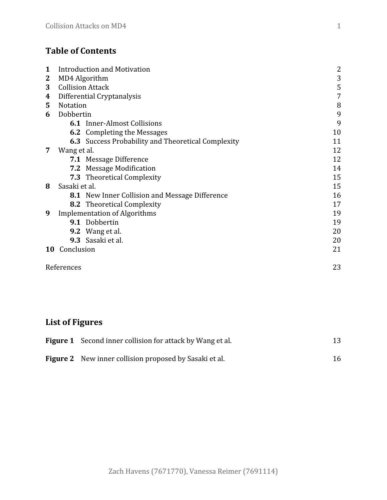# **Table of Contents**

| 1  | <b>Introduction and Motivation</b> |                                                           |                |  |  |  |
|----|------------------------------------|-----------------------------------------------------------|----------------|--|--|--|
| 2  |                                    | MD4 Algorithm                                             | 3              |  |  |  |
| 3  |                                    | <b>Collision Attack</b>                                   | 5              |  |  |  |
| 4  |                                    | Differential Cryptanalysis                                | $\overline{7}$ |  |  |  |
| 5  | <b>Notation</b>                    |                                                           | 8              |  |  |  |
| 6  | Dobbertin                          |                                                           | 9              |  |  |  |
|    |                                    | <b>6.1</b> Inner-Almost Collisions                        | 9              |  |  |  |
|    |                                    | <b>6.2</b> Completing the Messages                        | 10             |  |  |  |
|    |                                    | <b>6.3</b> Success Probability and Theoretical Complexity | 11             |  |  |  |
| 7  | Wang et al.                        |                                                           | 12             |  |  |  |
|    |                                    | <b>7.1</b> Message Difference                             | 12             |  |  |  |
|    |                                    | 7.2 Message Modification                                  | 14             |  |  |  |
|    |                                    | <b>7.3</b> Theoretical Complexity                         | 15             |  |  |  |
| 8  | Sasaki et al.                      |                                                           | 15             |  |  |  |
|    |                                    | <b>8.1</b> New Inner Collision and Message Difference     | 16             |  |  |  |
|    |                                    | <b>8.2</b> Theoretical Complexity                         | 17             |  |  |  |
| 9  |                                    | <b>Implementation of Algorithms</b>                       | 19             |  |  |  |
|    |                                    | 9.1 Dobbertin                                             | 19             |  |  |  |
|    |                                    | <b>9.2</b> Wang et al.                                    | 20             |  |  |  |
|    |                                    | 9.3 Sasaki et al.                                         | 20             |  |  |  |
| 10 | Conclusion                         |                                                           | 21             |  |  |  |
|    | References                         |                                                           | 23             |  |  |  |

# **List of Figures**

| <b>Figure 1</b> Second inner collision for attack by Wang et al. |    |
|------------------------------------------------------------------|----|
| <b>Figure 2</b> New inner collision proposed by Sasaki et al.    | 16 |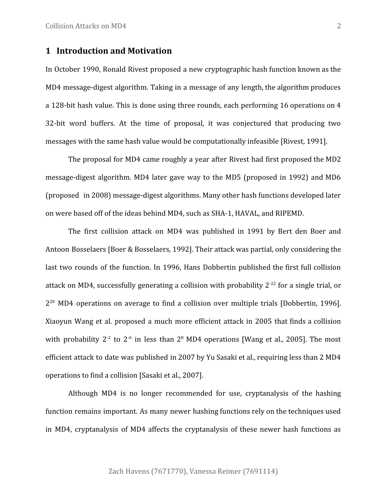# **1 Introduction and Motivation**

In October 1990, Ronald Rivest proposed a new cryptographic hash function known as the MD4 message-digest algorithm. Taking in a message of any length, the algorithm produces a 128-bit hash value. This is done using three rounds, each performing 16 operations on 4 32-bit word buffers. At the time of proposal, it was conjectured that producing two messages with the same hash value would be computationally infeasible [Rivest, 1991].

The proposal for MD4 came roughly a year after Rivest had first proposed the MD2 message-digest algorithm. MD4 later gave way to the MD5 (proposed in 1992) and MD6 (proposed in 2008) message-digest algorithms. Many other hash functions developed later on were based off of the ideas behind MD4, such as SHA-1, HAVAL, and RIPEMD.

The first collision attack on MD4 was published in 1991 by Bert den Boer and Antoon Bosselaers [Boer & Bosselaers, 1992]. Their attack was partial, only considering the last two rounds of the function. In 1996, Hans Dobbertin published the first full collision attack on MD4, successfully generating a collision with probability  $2^{-22}$  for a single trial, or 2<sup>20</sup> MD4 operations on average to find a collision over multiple trials [Dobbertin, 1996]. Xiaoyun Wang et al. proposed a much more efficient attack in 2005 that finds a collision with probability 2<sup>-2</sup> to 2<sup>-6</sup> in less than 2<sup>8</sup> MD4 operations [Wang et al., 2005]. The most efficient attack to date was published in 2007 by Yu Sasaki et al., requiring less than 2 MD4 operations to find a collision [Sasaki et al., 2007].

Although MD4 is no longer recommended for use, cryptanalysis of the hashing function remains important. As many newer hashing functions rely on the techniques used in MD4, cryptanalysis of MD4 affects the cryptanalysis of these newer hash functions as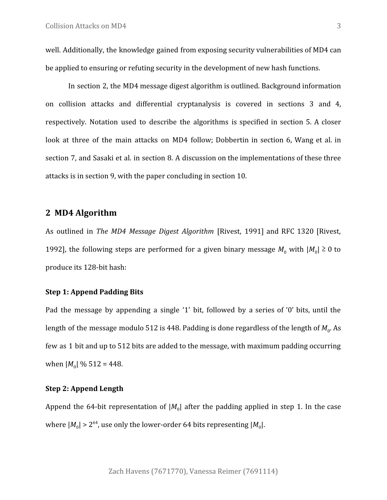well. Additionally, the knowledge gained from exposing security vulnerabilities of MD4 can be applied to ensuring or refuting security in the development of new hash functions.

In section 2, the MD4 message digest algorithm is outlined. Background information on collision attacks and differential cryptanalysis is covered in sections 3 and 4, respectively. Notation used to describe the algorithms is specified in section 5. A closer look at three of the main attacks on MD4 follow; Dobbertin in section 6, Wang et al. in section 7, and Sasaki et al. in section 8. A discussion on the implementations of these three attacks is in section 9, with the paper concluding in section 10.

# **2 MD4 Algorithm**

As outlined in *The MD4 Message Digest Algorithm* [Rivest, 1991] and RFC 1320 [Rivest, 1992], the following steps are performed for a given binary message  $M_0$  with  $|M_0| \ge 0$  to produce its 128-bit hash:

#### **Step 1: Append Padding Bits**

Pad the message by appending a single '1' bit, followed by a series of '0' bits, until the length of the message modulo 512 is 448. Padding is done regardless of the length of  $M^{}_0$ . As few as 1 bit and up to 512 bits are added to the message, with maximum padding occurring when  $|M_0| \% 512 = 448$ .

#### **Step 2: Append Length**

Append the 64-bit representation of  $|M_0|$  after the padding applied in step 1. In the case where  $|M_0| > 2^{64}$ , use only the lower-order 64 bits representing  $|M_0|$ .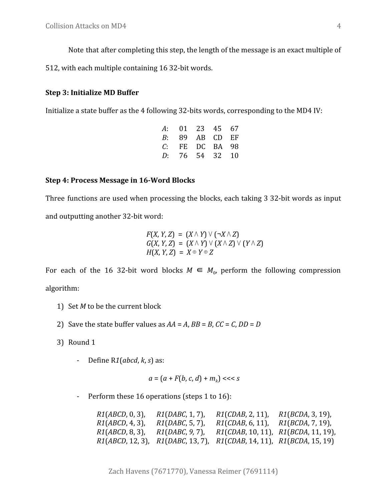Note that after completing this step, the length of the message is an exact multiple of

512, with each multiple containing 16 32-bit words.

## **Step 3: Initialize MD Buffer**

Initialize a state buffer as the 4 following 32-bits words, corresponding to the MD4 IV:

| A: |                | 01 23 45 67 |  |
|----|----------------|-------------|--|
| B: |                | 89 AB CD EF |  |
| C: |                | FE DC BA 98 |  |
|    | D: 76 54 32 10 |             |  |

#### **Step 4: Process Message in 16-Word Blocks**

Three functions are used when processing the blocks, each taking 3 32-bit words as input and outputting another 32-bit word:

$$
F(X, Y, Z) = (X \wedge Y) \vee (\neg X \wedge Z)
$$
  
G(X, Y, Z) = (X \wedge Y) \vee (X \wedge Z) \vee (Y \wedge Z)  
H(X, Y, Z) = X \oplus Y \oplus Z

For each of the 16 32-bit word blocks  $M \in M_0$ , perform the following compression algorithm:

- 1) Set *M* to be the current block
- 2) Save the state buffer values as  $AA = A$ ,  $BB = B$ ,  $CC = C$ ,  $DD = D$
- 3) Round 1
	- Define R*1*(*abcd*, *k*, *s*) as:

$$
a = \left(a + F(b, c, d) + m_k\right) \ll s
$$

- Perform these 16 operations (steps 1 to 16):

| $R1(ABCD, 0, 3)$ ,  | <i>R1</i> ( <i>DABC</i> , 1, 7),  | R1(CDAB, 2, 11)                           | $R1(BCDA, 3, 19)$ , |
|---------------------|-----------------------------------|-------------------------------------------|---------------------|
| $R1(ABCD, 4, 3)$ ,  | <i>R1</i> ( <i>DABC</i> , 5, 7),  | $R1(CDAB, 6, 11)$ ,                       | $R1(BCDA, 7, 19)$ , |
| $R1(ABCD, 8, 3)$ ,  | $R1(DABC, 9, 7)$ ,                | $R1(CDAB, 10, 11)$ , $R1(BCDA, 11, 19)$ , |                     |
| $R1(ABCD, 12, 3)$ , | <i>R1</i> ( <i>DABC</i> , 13, 7), | $R1(CDAB, 14, 11)$ , $R1(BCDA, 15, 19)$   |                     |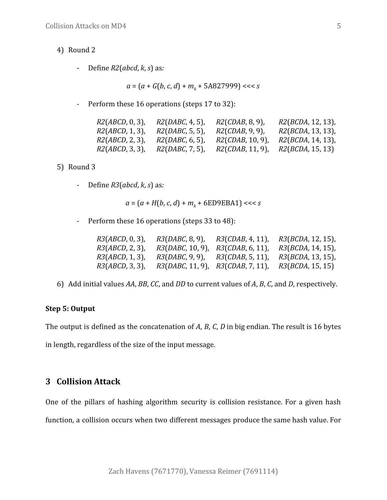- 4) Round 2
	- Define *R2*(*abcd*, *k*, *s*) as*:*

$$
a = (a + G(b, c, d) + mk + 5A827999) \ll s
$$

- Perform these 16 operations (steps 17 to 32):

| $R2(ABCD, 0, 3)$ , | R2(DABC, 4, 5) | $R2(CDAB, 8, 9)$ ,      | $R2(BCDA, 12, 13)$ , |
|--------------------|----------------|-------------------------|----------------------|
| $R2(ABCD, 1, 3)$ , | R2(DABC, 5, 5) | $R2(CDAB, 9, 9)$ ,      | $R2(BCDA, 13, 13)$ , |
| $R2(ABCD, 2, 3)$ , | R2(DABC, 6, 5) | R2(CDAB, 10, 9)         | $R2(BCDA, 14, 13)$ , |
| R2(ABCD, 3, 3)     | R2(DABC, 7, 5) | <i>R2(CDAB,</i> 11, 9). | R2(BCDA, 15, 13)     |

5) Round 3

- Define *R3*(*abcd*, *k*, *s*) as*:*

*a* = (*a* + *H*(*b*, *c*, *d*) + *m<sup>k</sup>* + 6ED9EBA1) <<< *s*

- Perform these 16 operations (steps 33 to 48):

| $R3(ABCD, 0, 3)$ , | <i>R3</i> ( <i>DABC</i> , 8, 9),        | R3(CDAB, 4, 11)                   | <i>R3</i> ( <i>BCDA</i> , 12, 15), |
|--------------------|-----------------------------------------|-----------------------------------|------------------------------------|
| $R3(ABCD, 2, 3)$ , | $R3(DABC, 10, 9)$ ,                     | R3(CDAB, 6, 11)                   | <i>R3</i> ( <i>BCDA</i> , 14, 15), |
| $R3(ABCD, 1, 3)$ , | <i>R3</i> ( <i>DABC</i> , 9, 9),        | <i>R3</i> ( <i>CDAB</i> , 5, 11), | <i>R3</i> ( <i>BCDA</i> , 13, 15), |
| $R3(ABCD, 3, 3)$ , | $R3(DABC, 11, 9)$ , $R3(CDAB, 7, 11)$ , |                                   | <i>R3</i> ( <i>BCDA</i> , 15, 15)  |

6) Add initial values *AA*, *BB*, *CC*, and *DD* to current values of *A*, *B*, *C*, and *D*, respectively.

#### **Step 5: Output**

The output is defined as the concatenation of *A*, *B*, *C*, *D* in big endian. The result is 16 bytes in length, regardless of the size of the input message.

# **3 Collision Attack**

One of the pillars of hashing algorithm security is collision resistance. For a given hash function, a collision occurs when two different messages produce the same hash value. For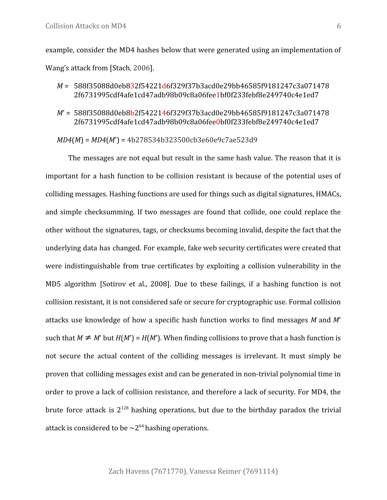example, consider the MD4 hashes below that were generated using an implementation of Wang's attack from [Stach, 2006].

- *M* = 588f35088d0eb832f54221d6f329f37b3acd0e29bb46585f9181247c3a071478 2f6731995cdf4afe1cd47adb98b09c8a06fee1bf0f233febf8e249740c4e1ed7
- *M*' = 588f35088d0eb8b2f5422146f329f37b3acd0e29bb46585f9181247c3a071478 2f6731995cdf4afe1cd47adb98b09c8a06fee0bf0f233febf8e249740c4e1ed7

```
MD4(M) = MD4(M') = 4b278534b323500cb3e60e9c7ae523d9
```
The messages are not equal but result in the same hash value. The reason that it is important for a hash function to be collision resistant is because of the potential uses of colliding messages. Hashing functions are used for things such as digital signatures, HMACs, and simple checksumming. If two messages are found that collide, one could replace the other without the signatures, tags, or checksums becoming invalid, despite the fact that the underlying data has changed. For example, fake web security certificates were created that were indistinguishable from true certificates by exploiting a collision vulnerability in the MD5 algorithm [Sotirov et al., 2008]. Due to these failings, if a hashing function is not collision resistant, it is not considered safe or secure for cryptographic use. Formal collision attacks use knowledge of how a specific hash function works to find messages *M* and *M*' such that  $M \neq M'$  but  $H(M') = H(M')$ . When finding collisions to prove that a hash function is not secure the actual content of the colliding messages is irrelevant. It must simply be proven that colliding messages exist and can be generated in non-trivial polynomial time in order to prove a lack of collision resistance, and therefore a lack of security. For MD4, the brute force attack is  $2^{128}$  hashing operations, but due to the birthday paradox the trivial attack is considered to be  $\sim 2^{64}$  hashing operations.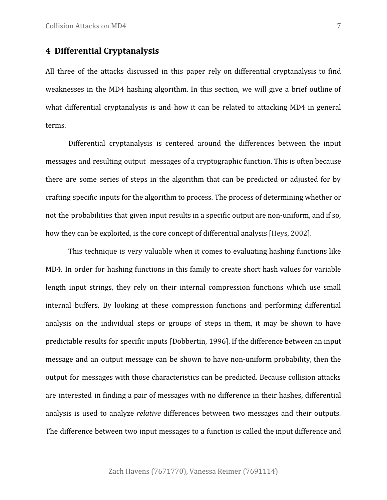# **4 Differential Cryptanalysis**

All three of the attacks discussed in this paper rely on differential cryptanalysis to find weaknesses in the MD4 hashing algorithm. In this section, we will give a brief outline of what differential cryptanalysis is and how it can be related to attacking MD4 in general terms.

Differential cryptanalysis is centered around the differences between the input messages and resulting output messages of a cryptographic function. This is often because there are some series of steps in the algorithm that can be predicted or adjusted for by crafting specific inputs for the algorithm to process. The process of determining whether or not the probabilities that given input results in a specific output are non-uniform, and if so, how they can be exploited, is the core concept of differential analysis [Heys, 2002].

This technique is very valuable when it comes to evaluating hashing functions like MD4. In order for hashing functions in this family to create short hash values for variable length input strings, they rely on their internal compression functions which use small internal buffers. By looking at these compression functions and performing differential analysis on the individual steps or groups of steps in them, it may be shown to have predictable results for specific inputs [Dobbertin, 1996]. If the difference between an input message and an output message can be shown to have non-uniform probability, then the output for messages with those characteristics can be predicted. Because collision attacks are interested in finding a pair of messages with no difference in their hashes, differential analysis is used to analyze *relative* differences between two messages and their outputs. The difference between two input messages to a function is called the input difference and

Zach Havens (7671770), Vanessa Reimer (7691114)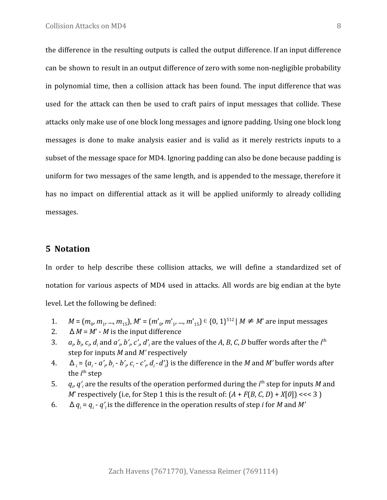the difference in the resulting outputs is called the output difference. If an input difference can be shown to result in an output difference of zero with some non-negligible probability in polynomial time, then a collision attack has been found. The input difference that was used for the attack can then be used to craft pairs of input messages that collide. These attacks only make use of one block long messages and ignore padding. Using one block long messages is done to make analysis easier and is valid as it merely restricts inputs to a subset of the message space for MD4. Ignoring padding can also be done because padding is uniform for two messages of the same length, and is appended to the message, therefore it has no impact on differential attack as it will be applied uniformly to already colliding messages.

# **5 Notation**

In order to help describe these collision attacks, we will define a standardized set of notation for various aspects of MD4 used in attacks. All words are big endian at the byte level. Let the following be defined:

- 1.  $M = (m_0, m_1, ..., m_{15}), M' = (m'_0, m'_1, ..., m'_{15}) \in \{0, 1\}^{512} \mid M \neq M'$  are input messages
- 2.  $\Delta M = M' M$  is the input difference
- 3. *a<sup>i</sup>* ,  $b_p$   $c_p$   $d_i$  and  $a'_{|p}$   $b'_{|p}$   $c'_{|p}$   $d'_i$  are the values of the  $A$ ,  $B$ ,  $C$ ,  $D$  buffer words after the  $i^{\rm th}$ step for inputs *M* and *M'* respectively
- 4.  $\Delta_i = \{a_i a'_i, b_i b'_i, c_i c'_i, d_i d'_i\}$  is the difference in the *M* and *M'* buffer words after the *i*<sup>th</sup> step
- 5. *q<sup>i</sup>* ,  $q'_{i}$  are the results of the operation performed during the  $i^{\text{th}}$  step for inputs  $M$  and *M*' respectively (i.e, for Step 1 this is the result of:  $(A + F(B, C, D) + X[0]) \ll 3$ )
- 6.  $\Delta q_i = q_i q'_i$  is the difference in the operation results of step *i* for *M* and *M'*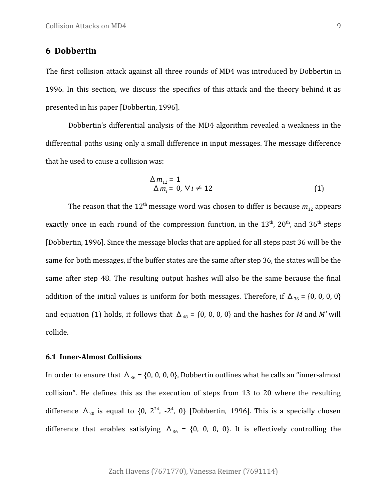# **6 Dobbertin**

The first collision attack against all three rounds of MD4 was introduced by Dobbertin in 1996. In this section, we discuss the specifics of this attack and the theory behind it as presented in his paper [Dobbertin, 1996].

Dobbertin's differential analysis of the MD4 algorithm revealed a weakness in the differential paths using only a small difference in input messages. The message difference that he used to cause a collision was:

$$
\Delta m_{12} = 1
$$
  
\n
$$
\Delta m_i = 0, \forall i \neq 12
$$
 (1)

The reason that the 12<sup>th</sup> message word was chosen to differ is because  $m_{12}$  appears exactly once in each round of the compression function, in the  $13<sup>th</sup>$ ,  $20<sup>th</sup>$ , and  $36<sup>th</sup>$  steps [Dobbertin, 1996]. Since the message blocks that are applied for all steps past 36 will be the same for both messages, if the buffer states are the same after step 36, the states will be the same after step 48. The resulting output hashes will also be the same because the final addition of the initial values is uniform for both messages. Therefore, if  $\Delta_{36}$  = {0, 0, 0, 0} and equation (1) holds, it follows that  $\Delta_{48} = \{0, 0, 0, 0\}$  and the hashes for *M* and *M'* will collide.

#### **6.1 Inner-Almost Collisions**

In order to ensure that  $\Delta_{36}$  = {0, 0, 0, 0}, Dobbertin outlines what he calls an "inner-almost collision". He defines this as the execution of steps from 13 to 20 where the resulting difference  $\Delta_{20}$  is equal to {0, 2<sup>24</sup>, -2<sup>4</sup>, 0} [Dobbertin, 1996]. This is a specially chosen difference that enables satisfying  $\Delta_{36}$  = {0, 0, 0, 0}. It is effectively controlling the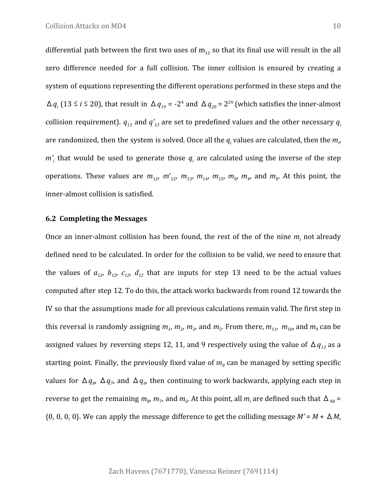differential path between the first two uses of  $m_{12}$  so that its final use will result in the all zero difference needed for a full collision. The inner collision is ensured by creating a system of equations representing the different operations performed in these steps and the  $\Delta q_i$  (13 ≤ *i* ≤ 20), that result in  $\Delta q_{19}$  = -2<sup>4</sup> and  $\Delta q_{20}$  = 2<sup>24</sup> (which satisfies the inner-almost collision requirement).  $q_{13}$  and  $q'_{13}$  are set to predefined values and the other necessary  $q_i$ are randomized, then the system is solved. Once all the  $q_i$  values are calculated, then the  $m_{i\prime}$ *m'<sup>i</sup>* that would be used to generate those *q<sup>i</sup>* are calculated using the inverse of the step operations. These values are  $m_{12}$ ,  $m'_{12}$ ,  $m_{13}$ ,  $m_{14}$ ,  $m_{15}$ ,  $m_{0}$ ,  $m_{4}$ , and  $m_{8}$ . At this point, the inner-almost collision is satisfied.

#### **6.2 Completing the Messages**

Once an inner-almost collision has been found, the rest of the of the nine  $m_i$  not already defined need to be calculated. In order for the collision to be valid, we need to ensure that the values of  $a_{12}$ ,  $b_{12}$ ,  $c_{12}$ ,  $d_{12}$  that are inputs for step 13 need to be the actual values computed after step 12. To do this, the attack works backwards from round 12 towards the IV so that the assumptions made for all previous calculations remain valid. The first step in this reversal is randomly assigning  $m_1$ ,  $m_2$ ,  $m_3$ , and  $m_5$ . From there,  $m_{11}$ ,  $m_{10}$ , and  $m_9$  can be assigned values by reversing steps 12, 11, and 9 respectively using the value of  $\Delta q_{13}$  as a starting point. Finally, the previously fixed value of  $m<sub>g</sub>$  can be managed by setting specific values for  $\Delta q_s$ ,  $\Delta q_\gamma$ , and  $\Delta q_\phi$  then continuing to work backwards, applying each step in reverse to get the remaining  $m_{8}$ ,  $m_{7}$ , and  $m_{6}$ . At this point, all  $m_{i}$  are defined such that  $\Delta_{48}$  =  $\{0, 0, 0, 0\}$ . We can apply the message difference to get the colliding message  $M' = M + \Delta M$ ,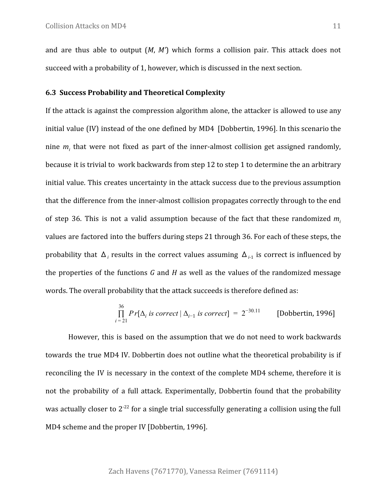and are thus able to output (*M*, *M'*) which forms a collision pair. This attack does not succeed with a probability of 1, however, which is discussed in the next section.

#### **6.3 Success Probability and Theoretical Complexity**

If the attack is against the compression algorithm alone, the attacker is allowed to use any initial value (IV) instead of the one defined by MD4 [Dobbertin, 1996]. In this scenario the nine *m<sup>i</sup>* that were not fixed as part of the inner-almost collision get assigned randomly, because it is trivial to work backwards from step 12 to step 1 to determine the an arbitrary initial value. This creates uncertainty in the attack success due to the previous assumption that the difference from the inner-almost collision propagates correctly through to the end of step 36. This is not a valid assumption because of the fact that these randomized *m<sup>i</sup>* values are factored into the buffers during steps 21 through 36. For each of these steps, the probability that Δ*<sup>i</sup>* results in the correct values assuming Δ*i*-1 is correct is influenced by the properties of the functions *G* and *H* as well as the values of the randomized message words. The overall probability that the attack succeeds is therefore defined as:

$$
\prod_{i=21}^{36} Pr[\Delta_i \text{ is correct} | \Delta_{i-1} \text{ is correct}] = 2^{-30.11} \qquad \text{[Dobbertin, 1996]}
$$

However, this is based on the assumption that we do not need to work backwards towards the true MD4 IV. Dobbertin does not outline what the theoretical probability is if reconciling the IV is necessary in the context of the complete MD4 scheme, therefore it is not the probability of a full attack. Experimentally, Dobbertin found that the probability was actually closer to  $2^{-22}$  for a single trial successfully generating a collision using the full MD4 scheme and the proper IV [Dobbertin, 1996].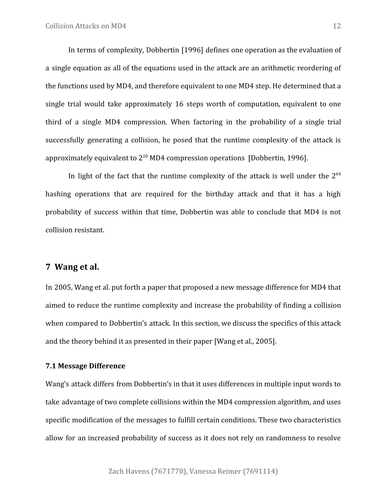In terms of complexity, Dobbertin [1996] defines one operation as the evaluation of a single equation as all of the equations used in the attack are an arithmetic reordering of the functions used by MD4, and therefore equivalent to one MD4 step. He determined that a single trial would take approximately 16 steps worth of computation, equivalent to one third of a single MD4 compression. When factoring in the probability of a single trial successfully generating a collision, he posed that the runtime complexity of the attack is approximately equivalent to  $2^{20}$  MD4 compression operations [Dobbertin, 1996].

In light of the fact that the runtime complexity of the attack is well under the  $2^{64}$ hashing operations that are required for the birthday attack and that it has a high probability of success within that time, Dobbertin was able to conclude that MD4 is not collision resistant.

### **7 Wang et al.**

In 2005, Wang et al. put forth a paper that proposed a new message difference for MD4 that aimed to reduce the runtime complexity and increase the probability of finding a collision when compared to Dobbertin's attack. In this section, we discuss the specifics of this attack and the theory behind it as presented in their paper [Wang et al., 2005].

## **7.1 Message Difference**

Wang's attack differs from Dobbertin's in that it uses differences in multiple input words to take advantage of two complete collisions within the MD4 compression algorithm, and uses specific modification of the messages to fulfill certain conditions. These two characteristics allow for an increased probability of success as it does not rely on randomness to resolve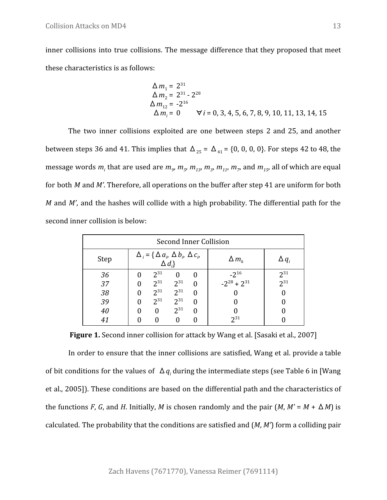inner collisions into true collisions. The message difference that they proposed that meet these characteristics is as follows:

$$
\Delta m_1 = 2^{31}
$$
  
\n
$$
\Delta m_2 = 2^{31} - 2^{28}
$$
  
\n
$$
\Delta m_{12} = -2^{16}
$$
  
\n
$$
\Delta m_i = 0 \qquad \forall i = 0, 3, 4, 5, 6, 7, 8, 9, 10, 11, 13, 14, 15
$$

The two inner collisions exploited are one between steps 2 and 25, and another between steps 36 and 41. This implies that  $\Delta_{25} = \Delta_{41} = \{0, 0, 0, 0\}$ . For steps 42 to 48, the message words  $m_i$  that are used are  $m_g$ ,  $m_{_g}$ ,  $m_{_{13}}$ ,  $m_{_{2}}$ ,  $m_{_{11}}$ ,  $m_{_{7}}$ , and  $m_{_{15}}$ , all of which are equal for both *M* and *M'*. Therefore, all operations on the buffer after step 41 are uniform for both *M* and *M'*, and the hashes will collide with a high probability. The differential path for the second inner collision is below:

| Second Inner Collision |                                                                     |          |          |   |                    |              |  |  |
|------------------------|---------------------------------------------------------------------|----------|----------|---|--------------------|--------------|--|--|
| Step                   | $\Delta_i = \{ \Delta a_i, \Delta b_i, \Delta c_i,$<br>$\Delta d_i$ |          |          |   | $\Delta m_k$       | $\Delta q_i$ |  |  |
| 36                     |                                                                     | $2^{31}$ | 0        |   | $-2^{16}$          | $2^{31}$     |  |  |
| 37                     |                                                                     | $2^{31}$ | $2^{31}$ | 0 | $-2^{28} + 2^{31}$ | $2^{31}$     |  |  |
| 38                     |                                                                     | $2^{31}$ | $2^{31}$ | 0 |                    |              |  |  |
| 39                     |                                                                     | $2^{31}$ | $2^{31}$ | 0 |                    |              |  |  |
| 40                     |                                                                     |          | $2^{31}$ | 0 |                    |              |  |  |
| 41                     |                                                                     |          |          |   | $2^{31}$           |              |  |  |

**Figure 1.** Second inner collision for attack by Wang et al. [Sasaki et al., 2007]

In order to ensure that the inner collisions are satisfied, Wang et al. provide a table of bit conditions for the values of Δ*q<sup>i</sup>* during the intermediate steps (see Table 6 in [Wang et al., 2005]). These conditions are based on the differential path and the characteristics of the functions *F*, *G*, and *H*. Initially, *M* is chosen randomly and the pair  $(M, M' = M + \Delta M)$  is calculated. The probability that the conditions are satisfied and (*M*, *M'*) form a colliding pair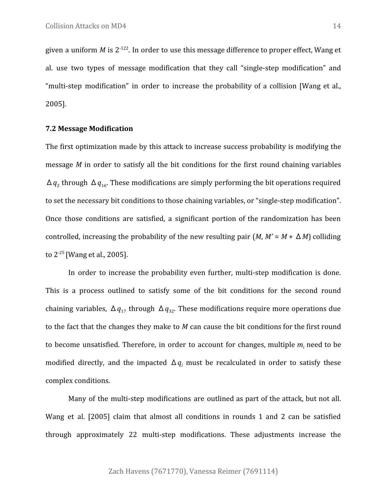given a uniform M is 2<sup>-122</sup>. In order to use this message difference to proper effect, Wang et al. use two types of message modification that they call "single-step modification" and "multi-step modification" in order to increase the probability of a collision [Wang et al., 2005].

#### **7.2 Message Modification**

The first optimization made by this attack to increase success probability is modifying the message *M* in order to satisfy all the bit conditions for the first round chaining variables  $\Delta q_2$  through  $\Delta q_{16}$ . These modifications are simply performing the bit operations required to set the necessary bit conditions to those chaining variables, or "single-step modification". Once those conditions are satisfied, a significant portion of the randomization has been controlled, increasing the probability of the new resulting pair  $(M, M' = M + \Delta M)$  colliding to 2-25 [Wang et al., 2005].

In order to increase the probability even further, multi-step modification is done. This is a process outlined to satisfy some of the bit conditions for the second round chaining variables,  $\Delta q_{17}$  through  $\Delta q_{32}$ . These modifications require more operations due to the fact that the changes they make to *M* can cause the bit conditions for the first round to become unsatisfied. Therefore, in order to account for changes, multiple *m<sup>i</sup>* need to be modified directly, and the impacted  $\Delta q_i$  must be recalculated in order to satisfy these complex conditions.

Many of the multi-step modifications are outlined as part of the attack, but not all. Wang et al. [2005] claim that almost all conditions in rounds 1 and 2 can be satisfied through approximately 22 multi-step modifications. These adjustments increase the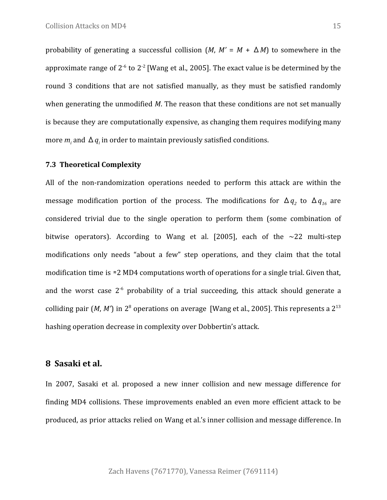probability of generating a successful collision  $(M, M' = M + \Delta M)$  to somewhere in the approximate range of  $2^{-6}$  to  $2^{-2}$  [Wang et al., 2005]. The exact value is be determined by the round 3 conditions that are not satisfied manually, as they must be satisfied randomly when generating the unmodified *M*. The reason that these conditions are not set manually is because they are computationally expensive, as changing them requires modifying many more  $m_i$  and  $\Delta q_i$  in order to maintain previously satisfied conditions.

#### **7.3 Theoretical Complexity**

All of the non-randomization operations needed to perform this attack are within the message modification portion of the process. The modifications for  $\Delta q_{2}$  to  $\Delta q_{16}$  are considered trivial due to the single operation to perform them (some combination of bitwise operators). According to Wang et al. [2005], each of the  $\sim$ 22 multi-step modifications only needs "about a few" step operations, and they claim that the total modification time is ≈2 MD4 computations worth of operations for a single trial. Given that, and the worst case  $2^{-6}$  probability of a trial succeeding, this attack should generate a colliding pair (*M*, *M*<sup> $>$ </sup>) in 2<sup>8</sup> operations on average [Wang et al., 2005]. This represents a 2<sup>13</sup> hashing operation decrease in complexity over Dobbertin's attack.

## **8 Sasaki et al.**

In 2007, Sasaki et al. proposed a new inner collision and new message difference for finding MD4 collisions. These improvements enabled an even more efficient attack to be produced, as prior attacks relied on Wang et al.'s inner collision and message difference. In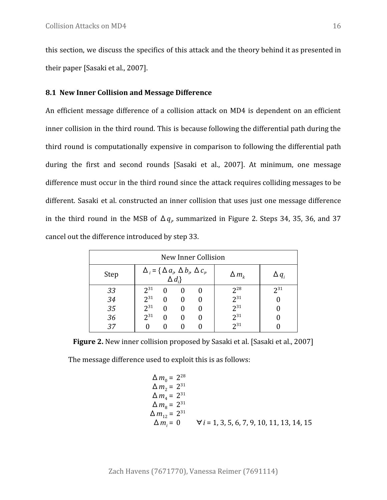this section, we discuss the specifics of this attack and the theory behind it as presented in their paper [Sasaki et al., 2007].

#### **8.1 New Inner Collision and Message Difference**

An efficient message difference of a collision attack on MD4 is dependent on an efficient inner collision in the third round. This is because following the differential path during the third round is computationally expensive in comparison to following the differential path during the first and second rounds [Sasaki et al., 2007]. At minimum, one message difference must occur in the third round since the attack requires colliding messages to be different. Sasaki et al. constructed an inner collision that uses just one message difference in the third round in the MSB of  $\Delta q_\nu$  summarized in Figure 2. Steps 34, 35, 36, and 37 cancel out the difference introduced by step 33.

| New Inner Collision |                                                                     |   |              |                  |              |                |  |  |
|---------------------|---------------------------------------------------------------------|---|--------------|------------------|--------------|----------------|--|--|
| Step                | $\Delta_i = \{ \Delta a_i, \Delta b_i, \Delta c_i,$<br>$\Delta d_i$ |   |              |                  | $\Delta m_k$ | $\Delta$ $q$ , |  |  |
| 33                  | $2^{31}$                                                            | 0 |              | $\left( \right)$ | $2^{28}$     | $2^{31}$       |  |  |
| 34                  | $2^{31}$                                                            | 0 | 0            | 0                | $2^{31}$     |                |  |  |
| 35                  | $2^{31}$                                                            | 0 | $\mathbf{0}$ | 0                | $2^{31}$     |                |  |  |
| 36                  | $2^{31}$                                                            | 0 | $\mathbf{0}$ | 0                | $2^{31}$     |                |  |  |
| 37                  |                                                                     |   |              |                  | $2^{31}$     |                |  |  |

**Figure 2.** New inner collision proposed by Sasaki et al. [Sasaki et al., 2007]

The message difference used to exploit this is as follows:

$$
\Delta m_0 = 2^{28}
$$
  
\n
$$
\Delta m_2 = 2^{31}
$$
  
\n
$$
\Delta m_4 = 2^{31}
$$
  
\n
$$
\Delta m_8 = 2^{31}
$$
  
\n
$$
\Delta m_{12} = 2^{31}
$$
  
\n
$$
\Delta m_i = 0 \qquad \forall i = 1, 3, 5, 6, 7, 9, 10, 11, 13, 14, 15
$$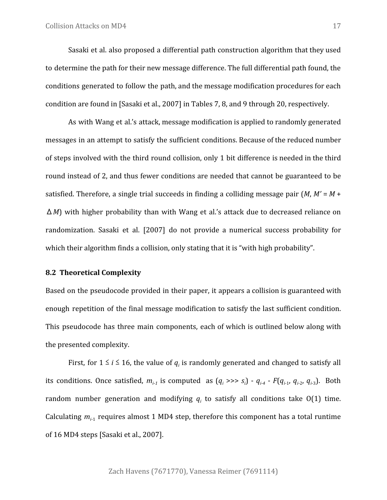Sasaki et al. also proposed a differential path construction algorithm that they used to determine the path for their new message difference. The full differential path found, the conditions generated to follow the path, and the message modification procedures for each condition are found in [Sasaki et al., 2007] in Tables 7, 8, and 9 through 20, respectively.

As with Wang et al.'s attack, message modification is applied to randomly generated messages in an attempt to satisfy the sufficient conditions. Because of the reduced number of steps involved with the third round collision, only 1 bit difference is needed in the third round instead of 2, and thus fewer conditions are needed that cannot be guaranteed to be satisfied. Therefore, a single trial succeeds in finding a colliding message pair (*M*, *M'* = *M* + Δ*M*) with higher probability than with Wang et al.'s attack due to decreased reliance on randomization. Sasaki et al. [2007] do not provide a numerical success probability for which their algorithm finds a collision, only stating that it is "with high probability".

#### **8.2 Theoretical Complexity**

Based on the pseudocode provided in their paper, it appears a collision is guaranteed with enough repetition of the final message modification to satisfy the last sufficient condition. This pseudocode has three main components, each of which is outlined below along with the presented complexity.

First, for  $1 \le i \le 16$ , the value of  $q_i$  is randomly generated and changed to satisfy all its conditions. Once satisfied,  $m_{i_1}$  is computed as  $(q_i \gg g_i) - q_{i_1} q_i - F(q_{i_1} q_{i_1} q_{i_2} q_{i_3})$ . Both random number generation and modifying  $q_i$  to satisfy all conditions take  $O(1)$  time. Calculating  $m_{i-1}$  requires almost 1 MD4 step, therefore this component has a total runtime of 16 MD4 steps [Sasaki et al., 2007].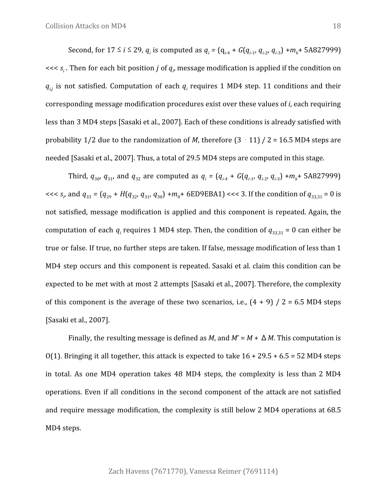Second, for  $17 \le i \le 29$ ,  $q_i$  is computed as  $q_i = (q_{i-4} + G(q_{i-1}, q_{i-2}, q_{i-3}) + m_k + 5A827999)$ <<< *s<sup>i</sup>* . Then for each bit position *j* of *q<sup>i</sup>* , message modification is applied if the condition on  $q_{i,j}$  is not satisfied. Computation of each  $q_i$  requires 1 MD4 step. 11 conditions and their corresponding message modification procedures exist over these values of *i*, each requiring less than 3 MD4 steps [Sasaki et al., 2007]. Each of these conditions is already satisfied with probability 1/2 due to the randomization of *M*, therefore  $(3 \cdot 11)$  / 2 = 16.5 MD4 steps are needed [Sasaki et al., 2007]. Thus, a total of 29.5 MD4 steps are computed in this stage.

Third,  $q_{30}$ ,  $q_{31}$ , and  $q_{32}$  are computed as  $q_i = (q_{i\text{-}4} + G(q_{i\text{-}1}, q_{i\text{-}2}, q_{i\text{-}3}) + m_k + 5A827999)$  $<< s_i$ , and  $q_{33} = (q_{29} + H(q_{32}, q_{31}, q_{30}) + m_0 + 6ED9EBA1) << 3$ . If the condition of  $q_{33,31} = 0$  is not satisfied, message modification is applied and this component is repeated. Again, the computation of each  $q_i$  requires 1 MD4 step. Then, the condition of  $q_{33,31} = 0$  can either be true or false. If true, no further steps are taken. If false, message modification of less than 1 MD4 step occurs and this component is repeated. Sasaki et al. claim this condition can be expected to be met with at most 2 attempts [Sasaki et al., 2007]. Therefore, the complexity of this component is the average of these two scenarios, i.e.,  $(4 + 9)$  / 2 = 6.5 MD4 steps [Sasaki et al., 2007].

Finally, the resulting message is defined as *M*, and  $M' = M + \Delta M$ . This computation is O(1). Bringing it all together, this attack is expected to take  $16 + 29.5 + 6.5 = 52$  MD4 steps in total. As one MD4 operation takes 48 MD4 steps, the complexity is less than 2 MD4 operations. Even if all conditions in the second component of the attack are not satisfied and require message modification, the complexity is still below 2 MD4 operations at 68.5 MD4 steps.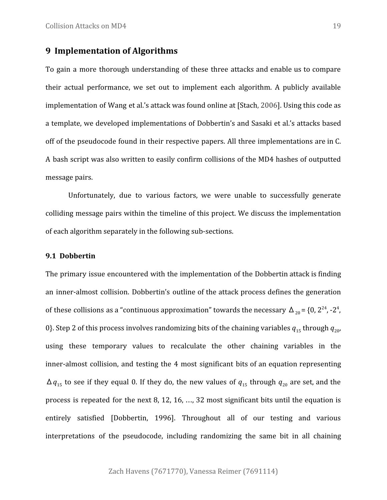# **9 Implementation of Algorithms**

To gain a more thorough understanding of these three attacks and enable us to compare their actual performance, we set out to implement each algorithm. A publicly available implementation of Wang et al.'s attack was found online at [Stach, 2006]. Using this code as a template, we developed implementations of Dobbertin's and Sasaki et al.'s attacks based off of the pseudocode found in their respective papers. All three implementations are in C. A bash script was also written to easily confirm collisions of the MD4 hashes of outputted message pairs.

Unfortunately, due to various factors, we were unable to successfully generate colliding message pairs within the timeline of this project. We discuss the implementation of each algorithm separately in the following sub-sections.

#### **9.1 Dobbertin**

The primary issue encountered with the implementation of the Dobbertin attack is finding an inner-almost collision. Dobbertin's outline of the attack process defines the generation of these collisions as a "continuous approximation" towards the necessary  $\Delta_{20}$  = {0, 2<sup>24</sup>, -2<sup>4</sup>, 0}. Step 2 of this process involves randomizing bits of the chaining variables  $q_{15}$  through  $q_{20}$ , using these temporary values to recalculate the other chaining variables in the inner-almost collision, and testing the 4 most significant bits of an equation representing  $\Delta q_{15}$  to see if they equal 0. If they do, the new values of  $q_{15}$  through  $q_{20}$  are set, and the process is repeated for the next 8, 12, 16, …, 32 most significant bits until the equation is entirely satisfied [Dobbertin, 1996]. Throughout all of our testing and various interpretations of the pseudocode, including randomizing the same bit in all chaining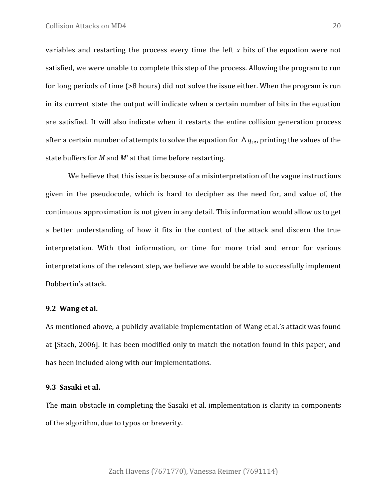variables and restarting the process every time the left *x* bits of the equation were not satisfied, we were unable to complete this step of the process. Allowing the program to run for long periods of time (>8 hours) did not solve the issue either. When the program is run in its current state the output will indicate when a certain number of bits in the equation are satisfied. It will also indicate when it restarts the entire collision generation process after a certain number of attempts to solve the equation for  $\Delta\,q_{15}$ , printing the values of the state buffers for *M* and *M'* at that time before restarting.

We believe that this issue is because of a misinterpretation of the vague instructions given in the pseudocode, which is hard to decipher as the need for, and value of, the continuous approximation is not given in any detail. This information would allow us to get a better understanding of how it fits in the context of the attack and discern the true interpretation. With that information, or time for more trial and error for various interpretations of the relevant step, we believe we would be able to successfully implement Dobbertin's attack.

#### **9.2 Wang et al.**

As mentioned above, a publicly available implementation of Wang et al.'s attack was found at [Stach, 2006]. It has been modified only to match the notation found in this paper, and has been included along with our implementations.

#### **9.3 Sasaki et al.**

The main obstacle in completing the Sasaki et al. implementation is clarity in components of the algorithm, due to typos or breverity.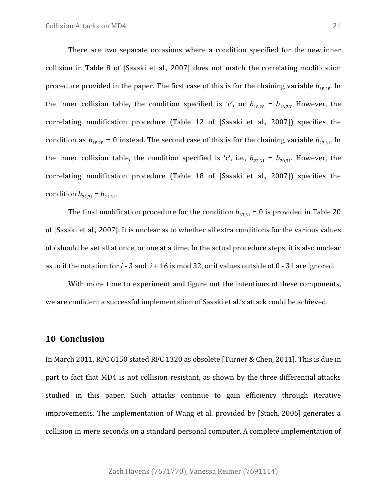There are two separate occasions where a condition specified for the new inner collision in Table 8 of [Sasaki et al., 2007] does not match the correlating modification procedure provided in the paper. The first case of this is for the chaining variable  $b_{18,28}$ . In the inner collision table, the condition specified is 'c', or  $b_{18,28} = b_{16,28}$ . However, the correlating modification procedure (Table 12 of [Sasaki et al., 2007]) specifies the condition as  $b_{18,28} = 0$  instead. The second case of this is for the chaining variable  $b_{22,31}$ . In the inner collision table, the condition specified is 'c', i.e.,  $b_{22,31} = b_{20,31}$ . However, the correlating modification procedure (Table 18 of [Sasaki et al., 2007]) specifies the condition  $b_{22,31} = b_{21,31}$ .

The final modification procedure for the condition  $b_{33,31} = 0$  is provided in Table 20 of [Sasaki et al., 2007]. It is unclear as to whether all extra conditions for the various values of *i* should be set all at once, or one at a time. In the actual procedure steps, it is also unclear as to if the notation for *i* - 3 and *i* + 16 is mod 32, or if values outside of 0 - 31 are ignored.

With more time to experiment and figure out the intentions of these components, we are confident a successful implementation of Sasaki et al.'s attack could be achieved.

### **10 Conclusion**

In March 2011, RFC 6150 stated RFC 1320 as obsolete [Turner & Chen, 2011]. This is due in part to fact that MD4 is not collision resistant, as shown by the three differential attacks studied in this paper. Such attacks continue to gain efficiency through iterative improvements. The implementation of Wang et al. provided by [Stach, 2006] generates a collision in mere seconds on a standard personal computer. A complete implementation of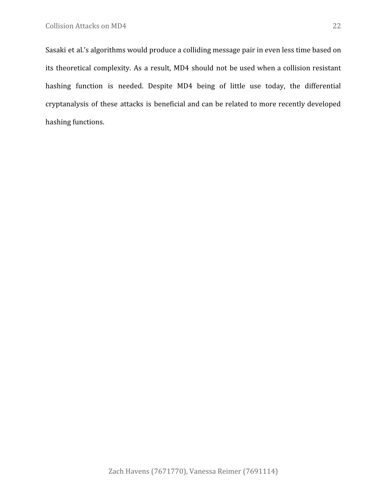Sasaki et al.'s algorithms would produce a colliding message pair in even less time based on its theoretical complexity. As a result, MD4 should not be used when a collision resistant hashing function is needed. Despite MD4 being of little use today, the differential cryptanalysis of these attacks is beneficial and can be related to more recently developed hashing functions.